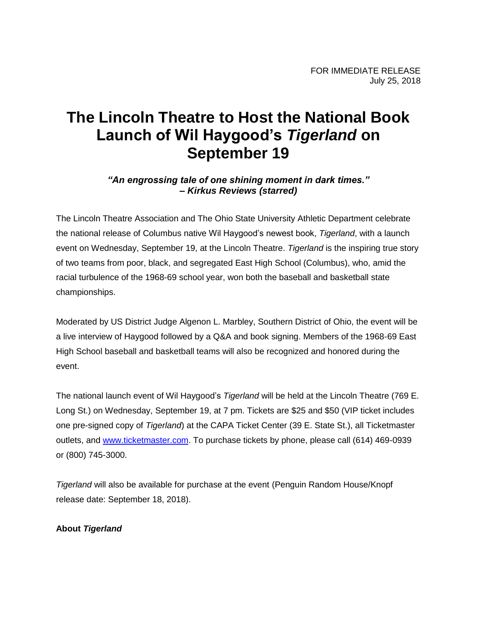# **The Lincoln Theatre to Host the National Book Launch of Wil Haygood's** *Tigerland* **on September 19**

## *"An engrossing tale of one shining moment in dark times." – Kirkus Reviews (starred)*

The Lincoln Theatre Association and The Ohio State University Athletic Department celebrate the national release of Columbus native Wil Haygood's newest book, *Tigerland*, with a launch event on Wednesday, September 19, at the Lincoln Theatre. *Tigerland* is the inspiring true story of two teams from poor, black, and segregated East High School (Columbus), who, amid the racial turbulence of the 1968-69 school year, won both the baseball and basketball state championships.

Moderated by US District Judge Algenon L. Marbley, Southern District of Ohio, the event will be a live interview of Haygood followed by a Q&A and book signing. Members of the 1968-69 East High School baseball and basketball teams will also be recognized and honored during the event.

The national launch event of Wil Haygood's *Tigerland* will be held at the Lincoln Theatre (769 E. Long St.) on Wednesday, September 19, at 7 pm. Tickets are \$25 and \$50 (VIP ticket includes one pre-signed copy of *Tigerland*) at the CAPA Ticket Center (39 E. State St.), all Ticketmaster outlets, and [www.ticketmaster.com.](http://www.ticketmaster.com/) To purchase tickets by phone, please call (614) 469-0939 or (800) 745-3000.

*Tigerland* will also be available for purchase at the event (Penguin Random House/Knopf release date: September 18, 2018).

## **About** *Tigerland*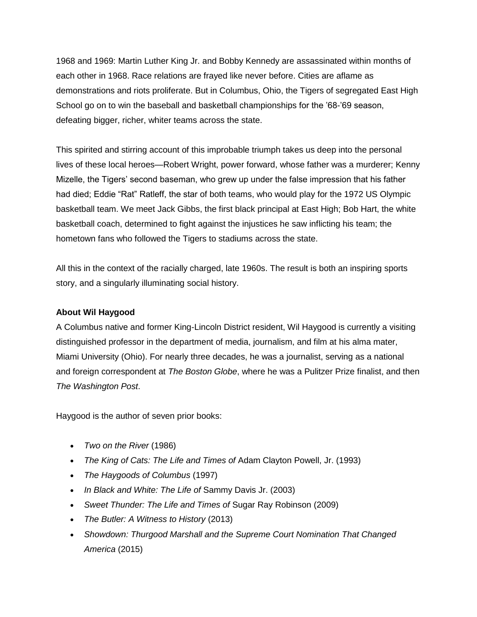1968 and 1969: Martin Luther King Jr. and Bobby Kennedy are assassinated within months of each other in 1968. Race relations are frayed like never before. Cities are aflame as demonstrations and riots proliferate. But in Columbus, Ohio, the Tigers of segregated East High School go on to win the baseball and basketball championships for the '68-'69 season, defeating bigger, richer, whiter teams across the state.

This spirited and stirring account of this improbable triumph takes us deep into the personal lives of these local heroes—Robert Wright, power forward, whose father was a murderer; Kenny Mizelle, the Tigers' second baseman, who grew up under the false impression that his father had died; Eddie "Rat" Ratleff, the star of both teams, who would play for the 1972 US Olympic basketball team. We meet Jack Gibbs, the first black principal at East High; Bob Hart, the white basketball coach, determined to fight against the injustices he saw inflicting his team; the hometown fans who followed the Tigers to stadiums across the state.

All this in the context of the racially charged, late 1960s. The result is both an inspiring sports story, and a singularly illuminating social history.

## **About Wil Haygood**

A Columbus native and former King-Lincoln District resident, Wil Haygood is currently a visiting distinguished professor in the department of media, journalism, and film at his alma mater, Miami University (Ohio). For nearly three decades, he was a journalist, serving as a national and foreign correspondent at *The Boston Globe*, where he was a Pulitzer Prize finalist, and then *The Washington Post*.

Haygood is the author of seven prior books:

- *Two on the River* (1986)
- *The King of Cats: The Life and Times of* Adam Clayton Powell, Jr. (1993)
- *The Haygoods of Columbus* (1997)
- *In Black and White: The Life of* Sammy Davis Jr. (2003)
- *Sweet Thunder: The Life and Times of* Sugar Ray Robinson (2009)
- *The Butler: A Witness to History* (2013)
- *Showdown: Thurgood Marshall and the Supreme Court Nomination That Changed America* (2015)